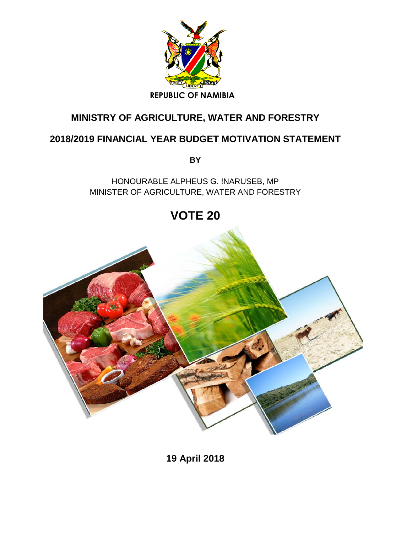

## **MINISTRY OF AGRICULTURE, WATER AND FORESTRY**

## **2018/2019 FINANCIAL YEAR BUDGET MOTIVATION STATEMENT**

**BY** 

HONOURABLE ALPHEUS G. !NARUSEB, MP MINISTER OF AGRICULTURE, WATER AND FORESTRY

**VOTE 20** 



**19 April 2018**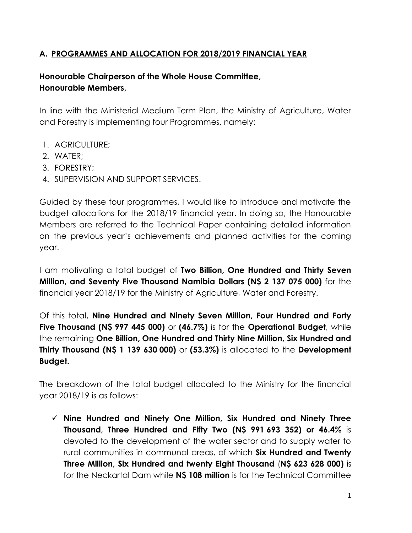## **A. PROGRAMMES AND ALLOCATION FOR 2018/2019 FINANCIAL YEAR**

## **Honourable Chairperson of the Whole House Committee, Honourable Members,**

In line with the Ministerial Medium Term Plan, the Ministry of Agriculture, Water and Forestry is implementing four Programmes, namely:

- 1. AGRICULTURE;
- 2. WATER;
- 3. FORESTRY;
- 4. SUPERVISION AND SUPPORT SERVICES.

Guided by these four programmes, I would like to introduce and motivate the budget allocations for the 2018/19 financial year. In doing so, the Honourable Members are referred to the Technical Paper containing detailed information on the previous year's achievements and planned activities for the coming year.

I am motivating a total budget of **Two Billion, One Hundred and Thirty Seven Million, and Seventy Five Thousand Namibia Dollars (N\$ 2 137 075 000)** for the financial year 2018/19 for the Ministry of Agriculture, Water and Forestry.

Of this total, **Nine Hundred and Ninety Seven Million, Four Hundred and Forty Five Thousand (N\$ 997 445 000)** or **(46.7%)** is for the **Operational Budget**, while the remaining **One Billion, One Hundred and Thirty Nine Million, Six Hundred and Thirty Thousand (N\$ 1 139 630 000)** or **(53.3%)** is allocated to the **Development Budget.**

The breakdown of the total budget allocated to the Ministry for the financial year 2018/19 is as follows:

 **Nine Hundred and Ninety One Million, Six Hundred and Ninety Three Thousand, Three Hundred and Fifty Two (N\$ 991 693 352) or 46.4%** is devoted to the development of the water sector and to supply water to rural communities in communal areas, of which **Six Hundred and Twenty Three Million, Six Hundred and twenty Eight Thousand** (**N\$ 623 628 000)** is for the Neckartal Dam while **N\$ 108 million** is for the Technical Committee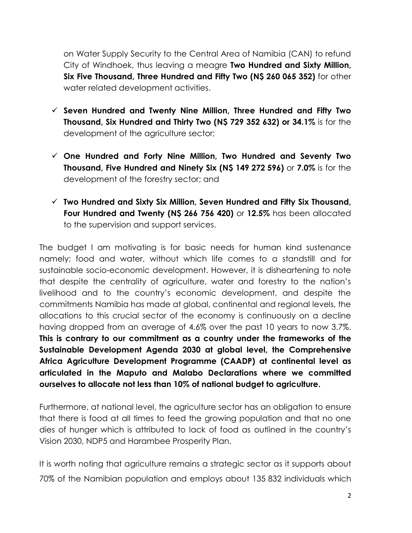on Water Supply Security to the Central Area of Namibia (CAN) to refund City of Windhoek, thus leaving a meagre **Two Hundred and Sixty Million, Six Five Thousand, Three Hundred and Fifty Two (N\$ 260 065 352)** for other water related development activities.

- **Seven Hundred and Twenty Nine Million, Three Hundred and Fifty Two Thousand, Six Hundred and Thirty Two (N\$ 729 352 632) or 34.1%** is for the development of the agriculture sector;
- **One Hundred and Forty Nine Million, Two Hundred and Seventy Two Thousand, Five Hundred and Ninety Six (N\$ 149 272 596)** or **7.0%** is for the development of the forestry sector; and
- **Two Hundred and Sixty Six Million, Seven Hundred and Fifty Six Thousand, Four Hundred and Twenty (N\$ 266 756 420)** or **12.5%** has been allocated to the supervision and support services.

The budget I am motivating is for basic needs for human kind sustenance namely; food and water, without which life comes to a standstill and for sustainable socio-economic development. However, it is disheartening to note that despite the centrality of agriculture, water and forestry to the nation's livelihood and to the country's economic development, and despite the commitments Namibia has made at global, continental and regional levels, the allocations to this crucial sector of the economy is continuously on a decline having dropped from an average of 4.6% over the past 10 years to now 3.7%. **This is contrary to our commitment as a country under the frameworks of the Sustainable Development Agenda 2030 at global level, the Comprehensive Africa Agriculture Development Programme (CAADP) at continental level as articulated in the Maputo and Malabo Declarations where we committed ourselves to allocate not less than 10% of national budget to agriculture.**

Furthermore, at national level, the agriculture sector has an obligation to ensure that there is food at all times to feed the growing population and that no one dies of hunger which is attributed to lack of food as outlined in the country's Vision 2030, NDP5 and Harambee Prosperity Plan.

It is worth noting that agriculture remains a strategic sector as it supports about 70% of the Namibian population and employs about 135 832 individuals which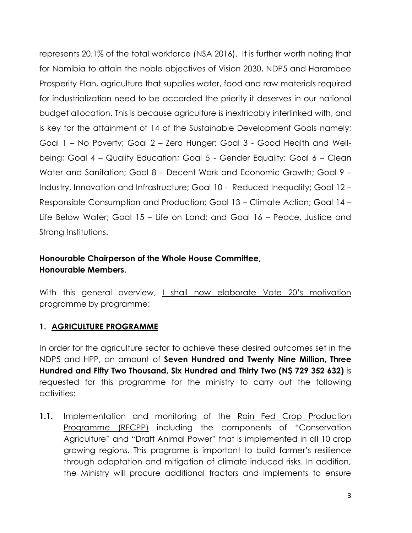represents 20.1% of the total workforce (NSA 2016). It is further worth noting that for Namibia to attain the noble objectives of Vision 2030, NDP5 and Harambee Prosperity Plan, agriculture that supplies water, food and raw materials required for industrialization need to be accorded the priority it deserves in our national budget allocation. This is because agriculture is inextricably interlinked with, and is key for the attainment of 14 of the Sustainable Development Goals namely; Goal 1 – No Poverty; Goal 2 – Zero Hunger; Goal 3 - Good Health and Wellbeing; Goal 4 – Quality Education; Goal 5 - Gender Equality; Goal 6 – Clean Water and Sanitation; Goal 8 – Decent Work and Economic Growth; Goal 9 – Industry, Innovation and Infrastructure; Goal 10 - Reduced Inequality; Goal 12 – Responsible Consumption and Production; Goal 13 – Climate Action; Goal 14 – Life Below Water; Goal 15 – Life on Land; and Goal 16 – Peace, Justice and Strong Institutions.

## **Honourable Chairperson of the Whole House Committee, Honourable Members,**

With this general overview, I shall now elaborate Vote 20's motivation programme by programme:

#### **1. AGRICULTURE PROGRAMME**

In order for the agriculture sector to achieve these desired outcomes set in the NDP5 and HPP, an amount of **Seven Hundred and Twenty Nine Million, Three Hundred and Fifty Two Thousand, Six Hundred and Thirty Two (N\$ 729 352 632)** is requested for this programme for the ministry to carry out the following activities:

**1.1.** Implementation and monitoring of the Rain Fed Crop Production Programme (RFCPP) including the components of "Conservation Agriculture" and "Draft Animal Power" that is implemented in all 10 crop growing regions. This programe is important to build farmer's resilience through adaptation and mitigation of climate induced risks. In addition, the Ministry will procure additional tractors and implements to ensure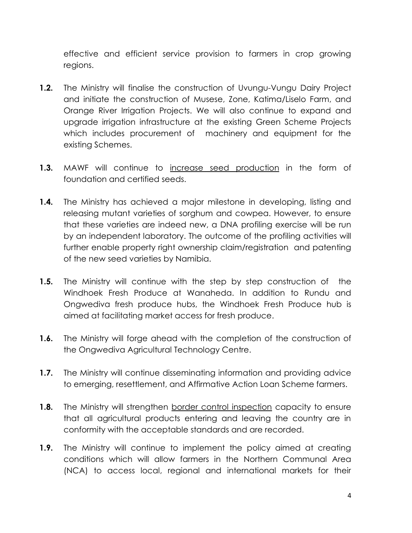effective and efficient service provision to farmers in crop growing regions.

- **1.2.** The Ministry will finalise the construction of Uvungu-Vungu Dairy Project and initiate the construction of Musese, Zone, Katima/Liselo Farm, and Orange River Irrigation Projects. We will also continue to expand and upgrade irrigation infrastructure at the existing Green Scheme Projects which includes procurement of machinery and equipment for the existing Schemes.
- **1.3.** MAWF will continue to increase seed production in the form of foundation and certified seeds.
- **1.4.** The Ministry has achieved a major milestone in developing, listing and releasing mutant varieties of sorghum and cowpea. However, to ensure that these varieties are indeed new, a DNA profiling exercise will be run by an independent laboratory. The outcome of the profiling activities will further enable property right ownership claim/registration and patenting of the new seed varieties by Namibia.
- **1.5.** The Ministry will continue with the step by step construction of the Windhoek Fresh Produce at Wanaheda. In addition to Rundu and Ongwediva fresh produce hubs, the Windhoek Fresh Produce hub is aimed at facilitating market access for fresh produce.
- **1.6.** The Ministry will forge ahead with the completion of the construction of the Ongwediva Agricultural Technology Centre.
- **1.7.** The Ministry will continue disseminating information and providing advice to emerging, resettlement, and Affirmative Action Loan Scheme farmers.
- **1.8.** The Ministry will strengthen border control inspection capacity to ensure that all agricultural products entering and leaving the country are in conformity with the acceptable standards and are recorded.
- **1.9.** The Ministry will continue to implement the policy aimed at creating conditions which will allow farmers in the Northern Communal Area (NCA) to access local, regional and international markets for their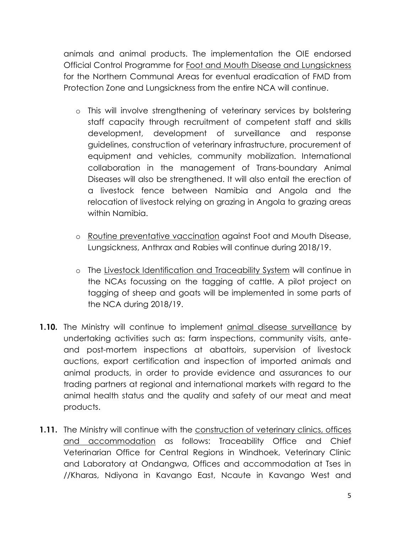animals and animal products. The implementation the OIE endorsed Official Control Programme for Foot and Mouth Disease and Lungsickness for the Northern Communal Areas for eventual eradication of FMD from Protection Zone and Lungsickness from the entire NCA will continue.

- o This will involve strengthening of veterinary services by bolstering staff capacity through recruitment of competent staff and skills development, development of surveillance and response guidelines, construction of veterinary infrastructure, procurement of equipment and vehicles, community mobilization. International collaboration in the management of Trans-boundary Animal Diseases will also be strengthened. It will also entail the erection of a livestock fence between Namibia and Angola and the relocation of livestock relying on grazing in Angola to grazing areas within Namibia.
- o Routine preventative vaccination against Foot and Mouth Disease, Lungsickness, Anthrax and Rabies will continue during 2018/19.
- o The Livestock Identification and Traceability System will continue in the NCAs focussing on the tagging of cattle. A pilot project on tagging of sheep and goats will be implemented in some parts of the NCA during 2018/19.
- **1.10.** The Ministry will continue to implement animal disease surveillance by undertaking activities such as: farm inspections, community visits, anteand post-mortem inspections at abattoirs, supervision of livestock auctions, export certification and inspection of imported animals and animal products, in order to provide evidence and assurances to our trading partners at regional and international markets with regard to the animal health status and the quality and safety of our meat and meat products.
- **1.11.** The Ministry will continue with the construction of veterinary clinics, offices and accommodation as follows: Traceability Office and Chief Veterinarian Office for Central Regions in Windhoek, Veterinary Clinic and Laboratory at Ondangwa, Offices and accommodation at Tses in //Kharas, Ndiyona in Kavango East, Ncaute in Kavango West and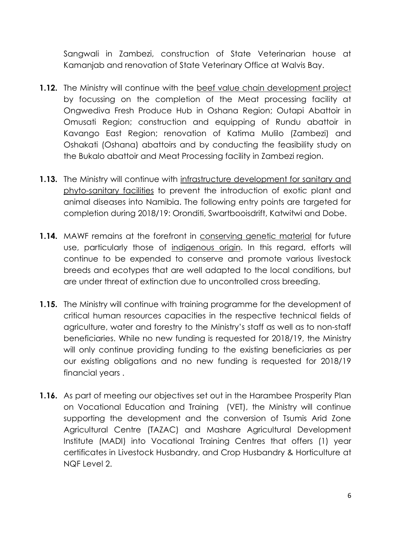Sangwali in Zambezi, construction of State Veterinarian house at Kamanjab and renovation of State Veterinary Office at Walvis Bay.

- **1.12.** The Ministry will continue with the beef value chain development project by focussing on the completion of the Meat processing facility at Ongwediva Fresh Produce Hub in Oshana Region; Outapi Abattoir in Omusati Region; construction and equipping of Rundu abattoir in Kavango East Region; renovation of Katima Mulilo (Zambezi) and Oshakati (Oshana) abattoirs and by conducting the feasibility study on the Bukalo abattoir and Meat Processing facility in Zambezi region.
- **1.13.** The Ministry will continue with infrastructure development for sanitary and phyto-sanitary facilities to prevent the introduction of exotic plant and animal diseases into Namibia. The following entry points are targeted for completion during 2018/19: Oronditi, Swartbooisdrift, Katwitwi and Dobe.
- **1.14.** MAWF remains at the forefront in conserving genetic material for future use, particularly those of indigenous origin. In this regard, efforts will continue to be expended to conserve and promote various livestock breeds and ecotypes that are well adapted to the local conditions, but are under threat of extinction due to uncontrolled cross breeding.
- **1.15.** The Ministry will continue with training programme for the development of critical human resources capacities in the respective technical fields of agriculture, water and forestry to the Ministry's staff as well as to non-staff beneficiaries. While no new funding is requested for 2018/19, the Ministry will only continue providing funding to the existing beneficiaries as per our existing obligations and no new funding is requested for 2018/19 financial years .
- **1.16.** As part of meeting our objectives set out in the Harambee Prosperity Plan on Vocational Education and Training (VET), the Ministry will continue supporting the development and the conversion of Tsumis Arid Zone Agricultural Centre (TAZAC) and Mashare Agricultural Development Institute (MADI) into Vocational Training Centres that offers (1) year certificates in Livestock Husbandry, and Crop Husbandry & Horticulture at NQF Level 2.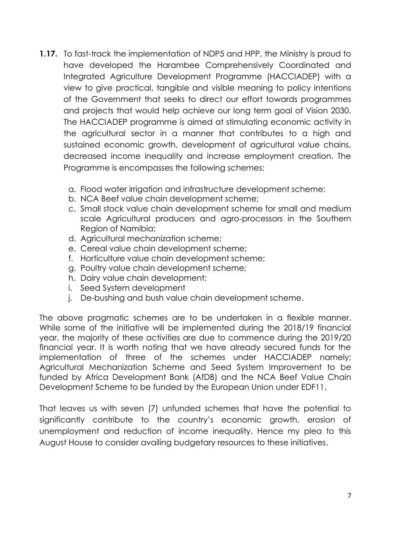- **1.17.** To fast-track the implementation of NDP5 and HPP, the Ministry is proud to have developed the Harambee Comprehensively Coordinated and Integrated Agriculture Development Programme (HACCIADEP) with a view to give practical, tangible and visible meaning to policy intentions of the Government that seeks to direct our effort towards programmes and projects that would help achieve our long term goal of Vision 2030. The HACCIADEP programme is aimed at stimulating economic activity in the agricultural sector in a manner that contributes to a high and sustained economic growth, development of agricultural value chains, decreased income inequality and increase employment creation. The Programme is encompasses the following schemes:
	- a. Flood water irrigation and infrastructure development scheme;
	- b. NCA Beef value chain development scheme;
	- c. Small stock value chain development scheme for small and medium scale Agricultural producers and agro-processors in the Southern Region of Namibia;
	- d. Agricultural mechanization scheme;
	- e. Cereal value chain development scheme;
	- f. Horticulture value chain development scheme;
	- g. Poultry value chain development scheme;
	- h. Dairy value chain development;
	- i. Seed System development
	- j. De-bushing and bush value chain development scheme.

The above pragmatic schemes are to be undertaken in a flexible manner. While some of the initiative will be implemented during the 2018/19 financial year, the majority of these activities are due to commence during the 2019/20 financial year. It is worth noting that we have already secured funds for the implementation of three of the schemes under HACCIADEP namely; Agricultural Mechanization Scheme and Seed System Improvement to be funded by Africa Development Bank (AfDB) and the NCA Beef Value Chain Development Scheme to be funded by the European Union under EDF11.

That leaves us with seven (7) unfunded schemes that have the potential to significantly contribute to the country's economic growth, erosion of unemployment and reduction of income inequality. Hence my plea to this August House to consider availing budgetary resources to these initiatives.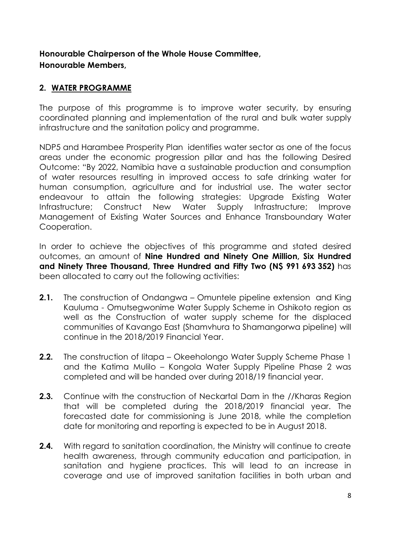## **Honourable Chairperson of the Whole House Committee, Honourable Members,**

#### **2. WATER PROGRAMME**

The purpose of this programme is to improve water security, by ensuring coordinated planning and implementation of the rural and bulk water supply infrastructure and the sanitation policy and programme.

NDP5 and Harambee Prosperity Plan identifies water sector as one of the focus areas under the economic progression pillar and has the following Desired Outcome: "By 2022, Namibia have a sustainable production and consumption of water resources resulting in improved access to safe drinking water for human consumption, agriculture and for industrial use. The water sector endeavour to attain the following strategies: Upgrade Existing Water Infrastructure; Construct New Water Supply Infrastructure; Improve Management of Existing Water Sources and Enhance Transboundary Water Cooperation.

In order to achieve the objectives of this programme and stated desired outcomes, an amount of **Nine Hundred and Ninety One Million, Six Hundred and Ninety Three Thousand, Three Hundred and Fifty Two (N\$ 991 693 352)** has been allocated to carry out the following activities:

- **2.1.** The construction of Ondangwa Omuntele pipeline extension and King Kauluma - Omutsegwonime Water Supply Scheme in Oshikoto region as well as the Construction of water supply scheme for the displaced communities of Kavango East (Shamvhura to Shamangorwa pipeline) will continue in the 2018/2019 Financial Year.
- **2.2.** The construction of litapa Okeeholongo Water Supply Scheme Phase 1 and the Katima Mulilo – Kongola Water Supply Pipeline Phase 2 was completed and will be handed over during 2018/19 financial year.
- **2.3.** Continue with the construction of Neckartal Dam in the //Kharas Region that will be completed during the 2018/2019 financial year. The forecasted date for commissioning is June 2018, while the completion date for monitoring and reporting is expected to be in August 2018.
- **2.4.** With regard to sanitation coordination, the Ministry will continue to create health awareness, through community education and participation, in sanitation and hygiene practices. This will lead to an increase in coverage and use of improved sanitation facilities in both urban and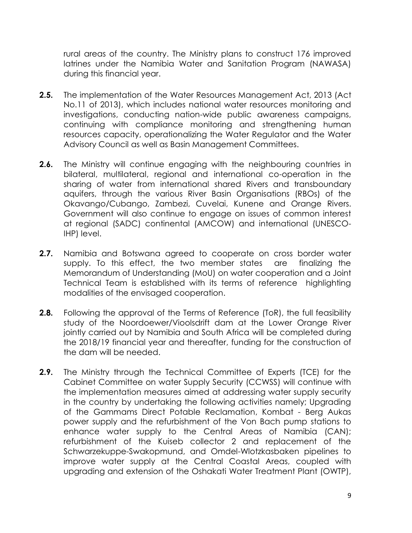rural areas of the country. The Ministry plans to construct 176 improved latrines under the Namibia Water and Sanitation Program (NAWASA) during this financial year.

- **2.5.** The implementation of the Water Resources Management Act, 2013 (Act No.11 of 2013), which includes national water resources monitoring and investigations, conducting nation-wide public awareness campaigns, continuing with compliance monitoring and strengthening human resources capacity, operationalizing the Water Regulator and the Water Advisory Council as well as Basin Management Committees.
- **2.6.** The Ministry will continue engaging with the neighbouring countries in bilateral, multilateral, regional and international co-operation in the sharing of water from international shared Rivers and transboundary aquifers, through the various River Basin Organisations (RBOs) of the Okavango/Cubango, Zambezi, Cuvelai, Kunene and Orange Rivers. Government will also continue to engage on issues of common interest at regional (SADC) continental (AMCOW) and international (UNESCO-IHP) level.
- **2.7.** Namibia and Botswana agreed to cooperate on cross border water supply. To this effect, the two member states are finalizing the Memorandum of Understanding (MoU) on water cooperation and a Joint Technical Team is established with its terms of reference highlighting modalities of the envisaged cooperation.
- **2.8.** Following the approval of the Terms of Reference (ToR), the full feasibility study of the Noordoewer/Vioolsdrift dam at the Lower Orange River jointly carried out by Namibia and South Africa will be completed during the 2018/19 financial year and thereafter, funding for the construction of the dam will be needed.
- **2.9.** The Ministry through the Technical Committee of Experts (TCE) for the Cabinet Committee on water Supply Security (CCWSS) will continue with the implementation measures aimed at addressing water supply security in the country by undertaking the following activities namely; Upgrading of the Gammams Direct Potable Reclamation, Kombat - Berg Aukas power supply and the refurbishment of the Von Bach pump stations to enhance water supply to the Central Areas of Namibia (CAN); refurbishment of the Kuiseb collector 2 and replacement of the Schwarzekuppe-Swakopmund, and Omdel-Wlotzkasbaken pipelines to improve water supply at the Central Coastal Areas, coupled with upgrading and extension of the Oshakati Water Treatment Plant (OWTP),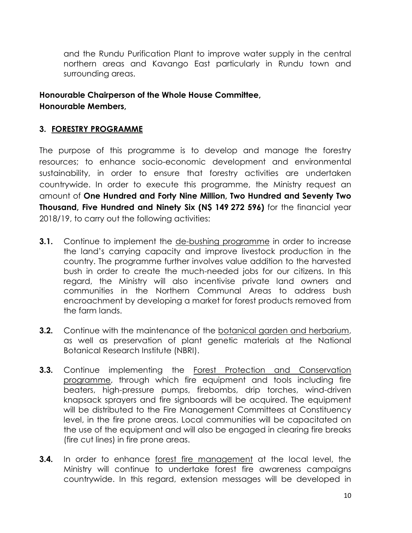and the Rundu Purification Plant to improve water supply in the central northern areas and Kavango East particularly in Rundu town and surrounding areas.

#### **Honourable Chairperson of the Whole House Committee, Honourable Members,**

#### **3. FORESTRY PROGRAMME**

The purpose of this programme is to develop and manage the forestry resources; to enhance socio-economic development and environmental sustainability, in order to ensure that forestry activities are undertaken countrywide. In order to execute this programme, the Ministry request an amount of **One Hundred and Forty Nine Million, Two Hundred and Seventy Two Thousand, Five Hundred and Ninety Six (N\$ 149 272 596)** for the financial year 2018/19, to carry out the following activities:

- **3.1.** Continue to implement the de-bushing programme in order to increase the land's carrying capacity and improve livestock production in the country. The programme further involves value addition to the harvested bush in order to create the much-needed jobs for our citizens. In this regard, the Ministry will also incentivise private land owners and communities in the Northern Communal Areas to address bush encroachment by developing a market for forest products removed from the farm lands.
- **3.2.** Continue with the maintenance of the botanical garden and herbarium, as well as preservation of plant genetic materials at the National Botanical Research Institute (NBRI).
- **3.3.** Continue implementing the Forest Protection and Conservation programme, through which fire equipment and tools including fire beaters, high-pressure pumps, firebombs, drip torches, wind-driven knapsack sprayers and fire signboards will be acquired. The equipment will be distributed to the Fire Management Committees at Constituency level, in the fire prone areas. Local communities will be capacitated on the use of the equipment and will also be engaged in clearing fire breaks (fire cut lines) in fire prone areas.
- **3.4.** In order to enhance forest fire management at the local level, the Ministry will continue to undertake forest fire awareness campaigns countrywide. In this regard, extension messages will be developed in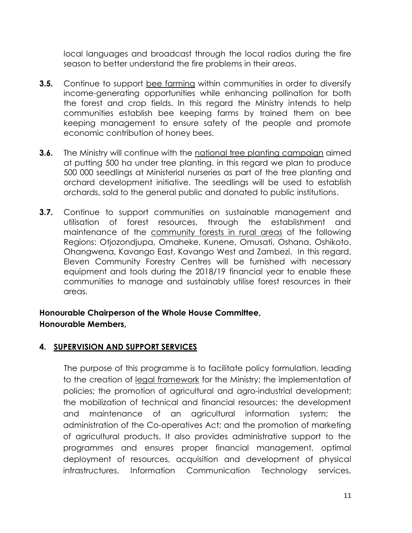local languages and broadcast through the local radios during the fire season to better understand the fire problems in their areas.

- **3.5.** Continue to support bee farming within communities in order to diversify income-generating opportunities while enhancing pollination for both the forest and crop fields. In this regard the Ministry intends to help communities establish bee keeping farms by trained them on bee keeping management to ensure safety of the people and promote economic contribution of honey bees.
- **3.6.** The Ministry will continue with the national tree planting campaign aimed at putting 500 ha under tree planting. in this regard we plan to produce 500 000 seedlings at Ministerial nurseries as part of the tree planting and orchard development initiative. The seedlings will be used to establish orchards, sold to the general public and donated to public institutions.
- **3.7.** Continue to support communities on sustainable management and utilisation of forest resources, through the establishment and maintenance of the community forests in rural areas of the following Regions: Otjozondjupa, Omaheke, Kunene, Omusati, Oshana, Oshikoto, Ohangwena, Kavango East, Kavango West and Zambezi. In this regard, Eleven Community Forestry Centres will be furnished with necessary equipment and tools during the 2018/19 financial year to enable these communities to manage and sustainably utilise forest resources in their areas.

## **Honourable Chairperson of the Whole House Committee, Honourable Members,**

#### **4. SUPERVISION AND SUPPORT SERVICES**

 The purpose of this programme is to facilitate policy formulation, leading to the creation of legal framework for the Ministry; the implementation of policies; the promotion of agricultural and agro-industrial development; the mobilization of technical and financial resources; the development and maintenance of an agricultural information system; the administration of the Co-operatives Act; and the promotion of marketing of agricultural products. It also provides administrative support to the programmes and ensures proper financial management, optimal deployment of resources, acquisition and development of physical infrastructures, Information Communication Technology services,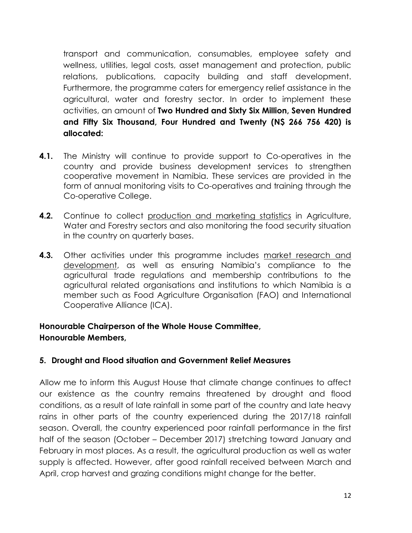transport and communication, consumables, employee safety and wellness, utilities, legal costs, asset management and protection, public relations, publications, capacity building and staff development. Furthermore, the programme caters for emergency relief assistance in the agricultural, water and forestry sector. In order to implement these activities, an amount of **Two Hundred and Sixty Six Million, Seven Hundred and Fifty Six Thousand, Four Hundred and Twenty (N\$ 266 756 420) is allocated:** 

- **4.1.** The Ministry will continue to provide support to Co-operatives in the country and provide business development services to strengthen cooperative movement in Namibia. These services are provided in the form of annual monitoring visits to Co-operatives and training through the Co-operative College.
- **4.2.** Continue to collect production and marketing statistics in Agriculture, Water and Forestry sectors and also monitoring the food security situation in the country on quarterly bases.
- **4.3.** Other activities under this programme includes market research and development, as well as ensuring Namibia's compliance to the agricultural trade regulations and membership contributions to the agricultural related organisations and institutions to which Namibia is a member such as Food Agriculture Organisation (FAO) and International Cooperative Alliance (ICA).

#### **Honourable Chairperson of the Whole House Committee, Honourable Members,**

#### **5. Drought and Flood situation and Government Relief Measures**

Allow me to inform this August House that climate change continues to affect our existence as the country remains threatened by drought and flood conditions, as a result of late rainfall in some part of the country and late heavy rains in other parts of the country experienced during the 2017/18 rainfall season. Overall, the country experienced poor rainfall performance in the first half of the season (October – December 2017) stretching toward January and February in most places. As a result, the agricultural production as well as water supply is affected. However, after good rainfall received between March and April, crop harvest and grazing conditions might change for the better.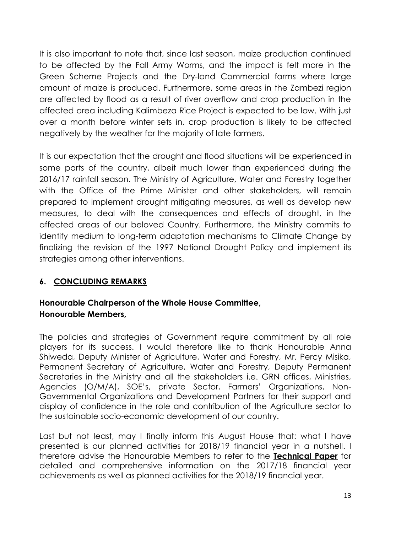It is also important to note that, since last season, maize production continued to be affected by the Fall Army Worms, and the impact is felt more in the Green Scheme Projects and the Dry-land Commercial farms where large amount of maize is produced. Furthermore, some areas in the Zambezi region are affected by flood as a result of river overflow and crop production in the affected area including Kalimbeza Rice Project is expected to be low. With just over a month before winter sets in, crop production is likely to be affected negatively by the weather for the majority of late farmers.

It is our expectation that the drought and flood situations will be experienced in some parts of the country, albeit much lower than experienced during the 2016/17 rainfall season. The Ministry of Agriculture, Water and Forestry together with the Office of the Prime Minister and other stakeholders, will remain prepared to implement drought mitigating measures, as well as develop new measures, to deal with the consequences and effects of drought, in the affected areas of our beloved Country. Furthermore, the Ministry commits to identify medium to long-term adaptation mechanisms to Climate Change by finalizing the revision of the 1997 National Drought Policy and implement its strategies among other interventions.

#### **6. CONCLUDING REMARKS**

## **Honourable Chairperson of the Whole House Committee, Honourable Members,**

The policies and strategies of Government require commitment by all role players for its success. I would therefore like to thank Honourable Anna Shiweda, Deputy Minister of Agriculture, Water and Forestry, Mr. Percy Misika, Permanent Secretary of Agriculture, Water and Forestry, Deputy Permanent Secretaries in the Ministry and all the stakeholders i.e. GRN offices, Ministries, Agencies (O/M/A), SOE's, private Sector, Farmers' Organizations, Non-Governmental Organizations and Development Partners for their support and display of confidence in the role and contribution of the Agriculture sector to the sustainable socio-economic development of our country.

Last but not least, may I finally inform this August House that: what I have presented is our planned activities for 2018/19 financial year in a nutshell. I therefore advise the Honourable Members to refer to the **Technical Paper** for detailed and comprehensive information on the 2017/18 financial year achievements as well as planned activities for the 2018/19 financial year.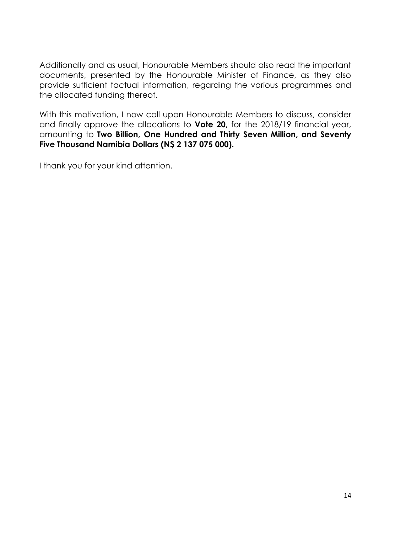Additionally and as usual, Honourable Members should also read the important documents, presented by the Honourable Minister of Finance, as they also provide sufficient factual information, regarding the various programmes and the allocated funding thereof.

With this motivation, I now call upon Honourable Members to discuss, consider and finally approve the allocations to **Vote 20,** for the 2018/19 financial year, amounting to **Two Billion, One Hundred and Thirty Seven Million, and Seventy Five Thousand Namibia Dollars (N\$ 2 137 075 000).**

I thank you for your kind attention.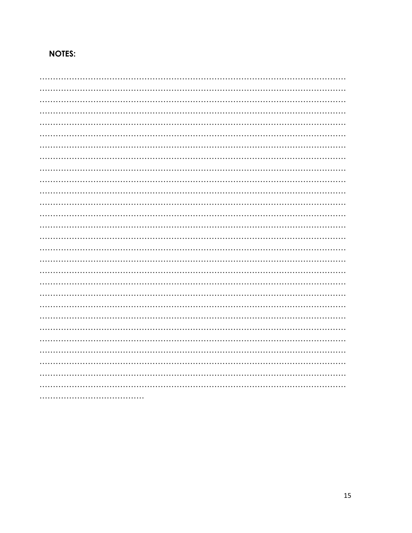# **NOTES:**